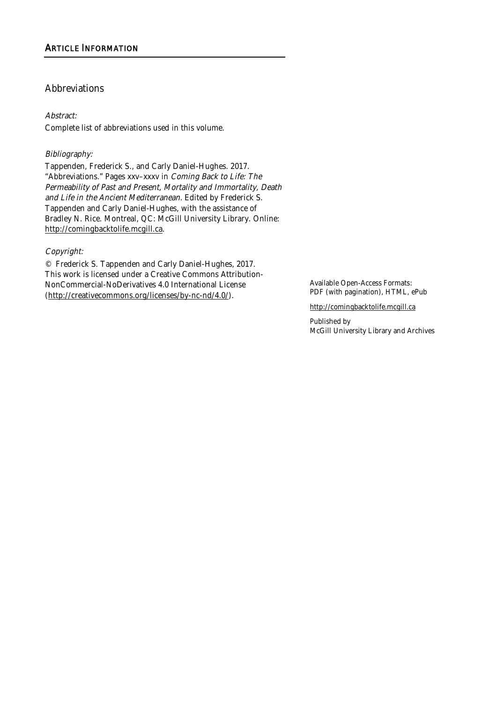#### Abstract:

Complete list of abbreviations used in this volume.

#### Bibliography:

Tappenden, Frederick S., and Carly Daniel-Hughes. 2017. "Abbreviations." Pages xxv–xxxv in Coming Back to Life: The Permeability of Past and Present, Mortality and Immortality, Death and Life in the Ancient Mediterranean. Edited by Frederick S. Tappenden and Carly Daniel-Hughes, with the assistance of Bradley N. Rice. Montreal, QC: McGill University Library. Online: http://comingbacktolife.mcgill.ca.

#### Copyright:

© Frederick S. Tappenden and Carly Daniel-Hughes, 2017. This work is licensed under a Creative Commons Attribution-NonCommercial-NoDerivatives 4.0 International License (http://creativecommons.org/licenses/by-nc-nd/4.0/).

Available Open-Access Formats: PDF (with pagination), HTML, ePub

http://comingbacktolife.mcgill.ca

Published by McGill University Library and Archives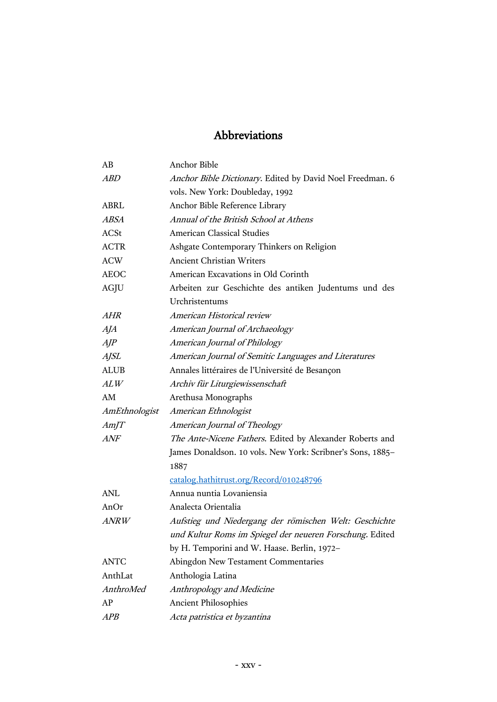| AB            | <b>Anchor Bible</b>                                        |
|---------------|------------------------------------------------------------|
| ABD           | Anchor Bible Dictionary. Edited by David Noel Freedman. 6  |
|               | vols. New York: Doubleday, 1992                            |
| <b>ABRL</b>   | Anchor Bible Reference Library                             |
| <b>ABSA</b>   | Annual of the British School at Athens                     |
| <b>ACSt</b>   | <b>American Classical Studies</b>                          |
| <b>ACTR</b>   | Ashgate Contemporary Thinkers on Religion                  |
| <b>ACW</b>    | <b>Ancient Christian Writers</b>                           |
| <b>AEOC</b>   | American Excavations in Old Corinth                        |
| AGJU          | Arbeiten zur Geschichte des antiken Judentums und des      |
|               | Urchristentums                                             |
| AHR           | American Historical review                                 |
| AJA           | American Journal of Archaeology                            |
| $A$ J $P$     | American Journal of Philology                              |
| <b>AJSL</b>   | American Journal of Semitic Languages and Literatures      |
| <b>ALUB</b>   | Annales littéraires de l'Université de Besançon            |
| ALW           | Archiv für Liturgiewissenschaft                            |
| AM            | Arethusa Monographs                                        |
| AmEthnologist | American Ethnologist                                       |
| AmJT          | American Journal of Theology                               |
|               |                                                            |
| ANF           | The Ante-Nicene Fathers. Edited by Alexander Roberts and   |
|               | James Donaldson. 10 vols. New York: Scribner's Sons, 1885- |
|               | 1887                                                       |
|               | catalog.hathitrust.org/Record/010248796                    |
| <b>ANL</b>    | Annua nuntia Lovaniensia                                   |
| AnOr          | Analecta Orientalia                                        |
| ANRW          | Aufstieg und Niedergang der römischen Welt: Geschichte     |
|               | und Kultur Roms im Spiegel der neueren Forschung. Edited   |
|               | by H. Temporini and W. Haase. Berlin, 1972-                |
| <b>ANTC</b>   | Abingdon New Testament Commentaries                        |
| AnthLat       | Anthologia Latina                                          |
| AnthroMed     | Anthropology and Medicine                                  |
| AP            | <b>Ancient Philosophies</b>                                |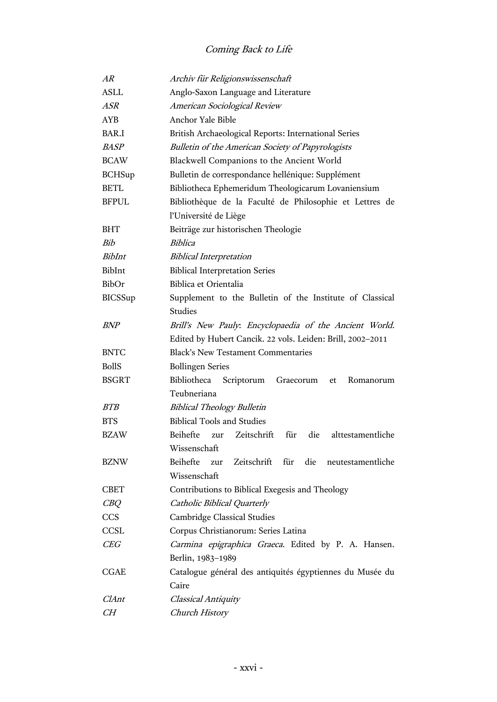| AR             | Archiv für Religionswissenschaft                                  |
|----------------|-------------------------------------------------------------------|
| <b>ASLL</b>    | Anglo-Saxon Language and Literature                               |
| ASR            | American Sociological Review                                      |
| <b>AYB</b>     | Anchor Yale Bible                                                 |
| BAR.I          | British Archaeological Reports: International Series              |
| <b>BASP</b>    | <b>Bulletin of the American Society of Papyrologists</b>          |
| <b>BCAW</b>    | Blackwell Companions to the Ancient World                         |
| <b>BCHSup</b>  | Bulletin de correspondance hellénique: Supplément                 |
| <b>BETL</b>    | Bibliotheca Ephemeridum Theologicarum Lovaniensium                |
| <b>BFPUL</b>   | Bibliothèque de la Faculté de Philosophie et Lettres de           |
|                | l'Université de Liège                                             |
| <b>BHT</b>     | Beiträge zur historischen Theologie                               |
| Bih            | <i>Biblica</i>                                                    |
| BibInt         | <b>Biblical Interpretation</b>                                    |
| BibInt         | <b>Biblical Interpretation Series</b>                             |
| BibOr          | Biblica et Orientalia                                             |
| <b>BICSSup</b> | Supplement to the Bulletin of the Institute of Classical          |
|                | <b>Studies</b>                                                    |
| <b>BNP</b>     | Brill's New Pauly: Encyclopaedia of the Ancient World.            |
|                | Edited by Hubert Cancik. 22 vols. Leiden: Brill, 2002-2011        |
| <b>BNTC</b>    | <b>Black's New Testament Commentaries</b>                         |
| <b>BollS</b>   | <b>Bollingen Series</b>                                           |
| <b>BSGRT</b>   | Bibliotheca<br>Scriptorum<br>Graecorum et<br>Romanorum            |
|                | Teubneriana                                                       |
| <i>BTB</i>     | <b>Biblical Theology Bulletin</b>                                 |
| <b>BTS</b>     | <b>Biblical Tools and Studies</b>                                 |
| <b>BZAW</b>    | Beihefte<br>Zeitschrift<br>für<br>die<br>alttestamentliche<br>zur |
|                | Wissenschaft                                                      |
| <b>BZNW</b>    | Beihefte<br>Zeitschrift für<br>die<br>neutestamentliche<br>zur    |
|                | Wissenschaft                                                      |
| <b>CBET</b>    | Contributions to Biblical Exegesis and Theology                   |
| $C\!B\!Q$      | Catholic Biblical Quarterly                                       |
| CCS            | Cambridge Classical Studies                                       |
| <b>CCSL</b>    | Corpus Christianorum: Series Latina                               |
| CEG            | Carmina epigraphica Graeca. Edited by P. A. Hansen.               |
|                | Berlin, 1983-1989                                                 |
| <b>CGAE</b>    | Catalogue général des antiquités égyptiennes du Musée du          |
|                | Caire                                                             |
| ClAnt          | Classical Antiquity                                               |
| CH             | <b>Church History</b>                                             |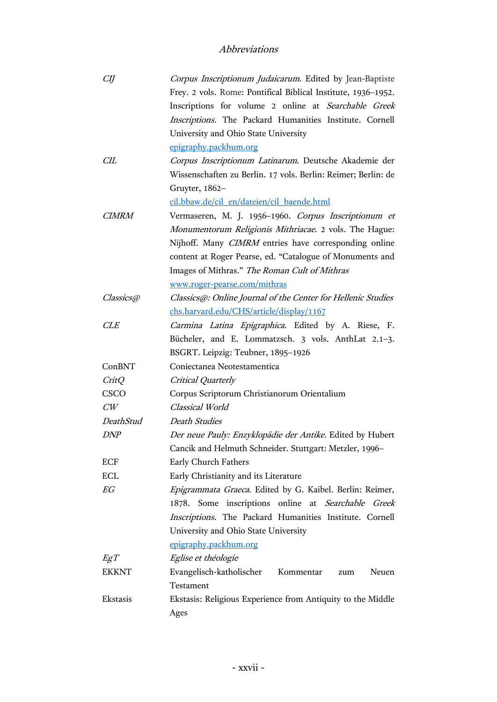| СIJ          | Corpus Inscriptionum Judaicarum. Edited by Jean-Baptiste      |
|--------------|---------------------------------------------------------------|
|              | Frey. 2 vols. Rome: Pontifical Biblical Institute, 1936-1952. |
|              | Inscriptions for volume 2 online at Searchable Greek          |
|              | Inscriptions. The Packard Humanities Institute. Cornell       |
|              | University and Ohio State University                          |
|              | epigraphy.packhum.org                                         |
| CIL          | Corpus Inscriptionum Latinarum. Deutsche Akademie der         |
|              | Wissenschaften zu Berlin. 17 vols. Berlin: Reimer; Berlin: de |
|              | Gruyter, 1862-                                                |
|              | cil.bbaw.de/cil en/dateien/cil baende.html                    |
| <i>CIMRM</i> | Vermaseren, M. J. 1956-1960. Corpus Inscriptionum et          |
|              | Monumentorum Religionis Mithriacae. 2 vols. The Hague:        |
|              | Nijhoff. Many CIMRM entries have corresponding online         |
|              | content at Roger Pearse, ed. "Catalogue of Monuments and      |
|              | Images of Mithras." The Roman Cult of Mithras                 |
|              | www.roger-pearse.com/mithras                                  |
| Classics@    | Classics@: Online Journal of the Center for Hellenic Studies  |
|              | chs.harvard.edu/CHS/article/display/1167                      |
| <b>CLE</b>   | Carmina Latina Epigraphica. Edited by A. Riese, F.            |
|              | Bücheler, and E. Lommatzsch. 3 vols. AnthLat 2.1-3.           |
|              | BSGRT. Leipzig: Teubner, 1895-1926                            |
| ConBNT       | Coniectanea Neotestamentica                                   |
| CritQ        | Critical Quarterly                                            |
| <b>CSCO</b>  | Corpus Scriptorum Christianorum Orientalium                   |
| CW           | Classical World                                               |
| DeathStud    | Death Studies                                                 |
| <i>DNP</i>   | Der neue Pauly: Enzyklopädie der Antike. Edited by Hubert     |
|              | Cancik and Helmuth Schneider. Stuttgart: Metzler, 1996-       |
| <b>ECF</b>   | Early Church Fathers                                          |
| <b>ECL</b>   | Early Christianity and its Literature                         |
| ${\it EG}$   | Epigrammata Graeca. Edited by G. Kaibel. Berlin: Reimer,      |
|              | 1878. Some inscriptions online at Searchable Greek            |
|              | Inscriptions. The Packard Humanities Institute. Cornell       |
|              | University and Ohio State University                          |
|              | epigraphy.packhum.org                                         |
| EgT          | Eglise et théologie                                           |
| <b>EKKNT</b> | Evangelisch-katholischer<br>Kommentar<br>Neuen<br>zum         |
|              | Testament                                                     |
| Ekstasis     | Ekstasis: Religious Experience from Antiquity to the Middle   |
|              | Ages                                                          |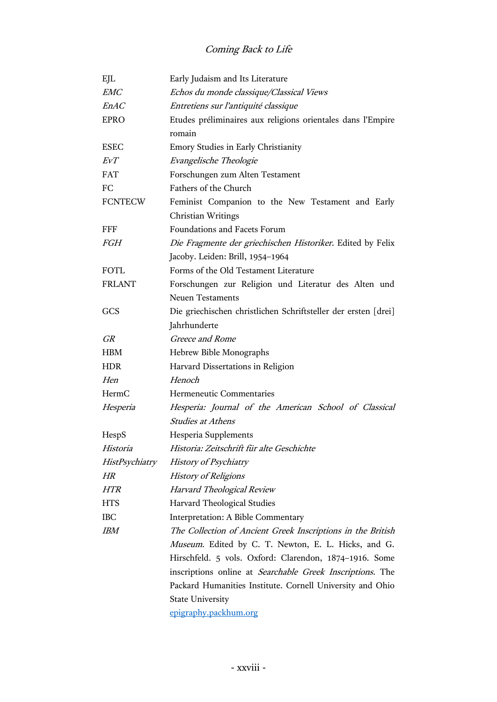| EJL            | Early Judaism and Its Literature                               |
|----------------|----------------------------------------------------------------|
| <b>EMC</b>     | Echos du monde classique/Classical Views                       |
| <i>EnAC</i>    | Entretiens sur l'antiquité classique                           |
| <b>EPRO</b>    | Etudes préliminaires aux religions orientales dans l'Empire    |
|                | romain                                                         |
| <b>ESEC</b>    | Emory Studies in Early Christianity                            |
| EvT            | Evangelische Theologie                                         |
| <b>FAT</b>     | Forschungen zum Alten Testament                                |
| FC             | Fathers of the Church                                          |
| <b>FCNTECW</b> | Feminist Companion to the New Testament and Early              |
|                | Christian Writings                                             |
| <b>FFF</b>     | Foundations and Facets Forum                                   |
| <b>FGH</b>     | Die Fragmente der griechischen Historiker. Edited by Felix     |
|                | Jacoby. Leiden: Brill, 1954-1964                               |
| <b>FOTL</b>    | Forms of the Old Testament Literature                          |
| <b>FRLANT</b>  | Forschungen zur Religion und Literatur des Alten und           |
|                | <b>Neuen Testaments</b>                                        |
| GCS            | Die griechischen christlichen Schriftsteller der ersten [drei] |
|                | Jahrhunderte                                                   |
| <b>GR</b>      | Greece and Rome                                                |
| <b>HBM</b>     | Hebrew Bible Monographs                                        |
| <b>HDR</b>     | Harvard Dissertations in Religion                              |
| Hen            | Henoch                                                         |
| HermC          | Hermeneutic Commentaries                                       |
| Hesperia       | Hesperia: Journal of the American School of Classical          |
|                | <b>Studies at Athens</b>                                       |
| HespS          | Hesperia Supplements                                           |
| Historia       | Historia: Zeitschrift für alte Geschichte                      |
| HistPsychiatry | History of Psychiatry                                          |
| HR             | <b>History of Religions</b>                                    |
| <b>HTR</b>     | Harvard Theological Review                                     |
| <b>HTS</b>     | Harvard Theological Studies                                    |
| <b>IBC</b>     | Interpretation: A Bible Commentary                             |
| <b>IBM</b>     | The Collection of Ancient Greek Inscriptions in the British    |
|                | Museum. Edited by C. T. Newton, E. L. Hicks, and G.            |
|                | Hirschfeld. 5 vols. Oxford: Clarendon, 1874-1916. Some         |
|                | inscriptions online at Searchable Greek Inscriptions. The      |
|                | Packard Humanities Institute. Cornell University and Ohio      |
|                | <b>State University</b>                                        |
|                | epigraphy.packhum.org                                          |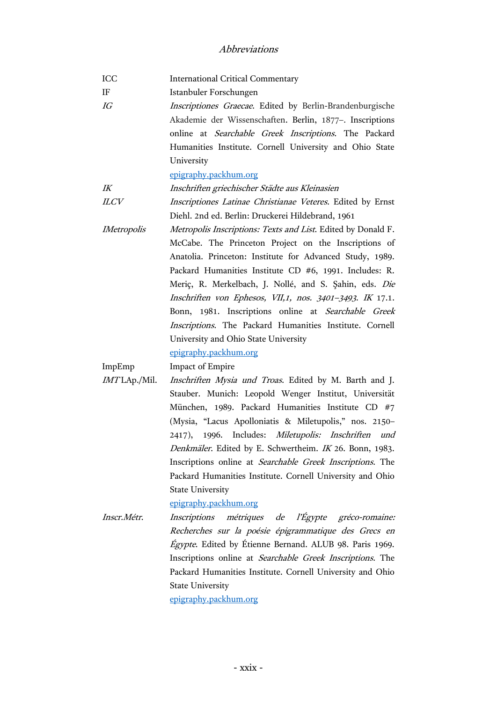ICC International Critical Commentary IF Istanbuler Forschungen IG Inscriptiones Graecae. Edited by Berlin-Brandenburgische Akademie der Wissenschaften. Berlin, 1877–. Inscriptions online at Searchable Greek Inscriptions. The Packard Humanities Institute. Cornell University and Ohio State University [epigraphy.packhum.org](http://epigraphy.packhum.org/) IK Inschriften griechischer Städte aus Kleinasien ILCV Inscriptiones Latinae Christianae Veteres. Edited by Ernst Diehl. 2nd ed. Berlin: Druckerei Hildebrand, 1961 IMetropolis Metropolis Inscriptions: Texts and List. Edited by Donald F. McCabe. The Princeton Project on the Inscriptions of Anatolia. Princeton: Institute for Advanced Study, 1989. Packard Humanities Institute CD #6, 1991. Includes: R. Meriç, R. Merkelbach, J. Nollé, and S. Şahin, eds. Die Inschriften von Ephesos, VII,1, nos. 3401–<sup>3493</sup>. IK 17.1. Bonn, 1981. Inscriptions online at Searchable Greek Inscriptions. The Packard Humanities Institute. Cornell University and Ohio State University [epigraphy.packhum.org](http://epigraphy.packhum.org/) ImpEmp Impact of Empire IMT LAp./Mil. Inschriften Mysia und Troas. Edited by M. Barth and J. Stauber. Munich: Leopold Wenger Institut, Universität München, 1989. Packard Humanities Institute CD #7 (Mysia, "Lacus Apolloniatis & Miletupolis," nos. 2150– 2417), 1996. Includes: Miletupolis: Inschriften und Denkmäler. Edited by E. Schwertheim. IK 26. Bonn, 1983. Inscriptions online at Searchable Greek Inscriptions. The Packard Humanities Institute. Cornell University and Ohio State University [epigraphy.packhum.org](http://epigraphy.packhum.org/) Inscr.Métr. Inscriptions métriques de l'Égypte gréco-romaine: Recherches sur la poésie épigrammatique des Grecs en Égypte. Edited by Étienne Bernand. ALUB 98. Paris 1969. Inscriptions online at Searchable Greek Inscriptions. The Packard Humanities Institute. Cornell University and Ohio State University [epigraphy.packhum.org](http://epigraphy.packhum.org/)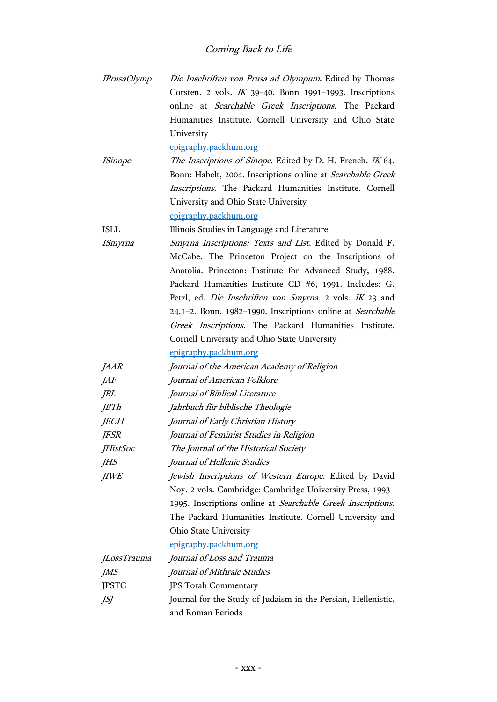| <b>IPrusaOlymp</b>    | Die Inschriften von Prusa ad Olympum. Edited by Thomas        |
|-----------------------|---------------------------------------------------------------|
|                       | Corsten. 2 vols. $IK$ 39-40. Bonn 1991-1993. Inscriptions     |
|                       | online at Searchable Greek Inscriptions. The Packard          |
|                       | Humanities Institute. Cornell University and Ohio State       |
|                       | University                                                    |
|                       | epigraphy.packhum.org                                         |
| <i><b>ISinope</b></i> | The Inscriptions of Sinope. Edited by D. H. French. IK 64.    |
|                       | Bonn: Habelt, 2004. Inscriptions online at Searchable Greek   |
|                       | Inscriptions. The Packard Humanities Institute. Cornell       |
|                       | University and Ohio State University                          |
|                       | epigraphy.packhum.org                                         |
| <b>ISLL</b>           | Illinois Studies in Language and Literature                   |
| ISmyrna               | Smyrna Inscriptions: Texts and List. Edited by Donald F.      |
|                       | McCabe. The Princeton Project on the Inscriptions of          |
|                       | Anatolia. Princeton: Institute for Advanced Study, 1988.      |
|                       | Packard Humanities Institute CD #6, 1991. Includes: G.        |
|                       | Petzl, ed. Die Inschriften von Smyrna. 2 vols. IK 23 and      |
|                       | 24.1-2. Bonn, 1982-1990. Inscriptions online at Searchable    |
|                       | Greek Inscriptions. The Packard Humanities Institute.         |
|                       | Cornell University and Ohio State University                  |
|                       | epigraphy.packhum.org                                         |
| <b>JAAR</b>           | Journal of the American Academy of Religion                   |
| <i>JAF</i>            | Journal of American Folklore                                  |
| JBL                   | Journal of Biblical Literature                                |
| JBTh                  | Jahrbuch für biblische Theologie                              |
| <b>JECH</b>           | Journal of Early Christian History                            |
| <b>JFSR</b>           | Journal of Feminist Studies in Religion                       |
| JHistSoc              | The Journal of the Historical Society                         |
| JHS                   | Journal of Hellenic Studies                                   |
| <b>JIWE</b>           | Jewish Inscriptions of Western Europe. Edited by David        |
|                       | Noy. 2 vols. Cambridge: Cambridge University Press, 1993-     |
|                       | 1995. Inscriptions online at Searchable Greek Inscriptions.   |
|                       | The Packard Humanities Institute. Cornell University and      |
|                       | Ohio State University                                         |
|                       | epigraphy.packhum.org                                         |
| <i>JLossTrauma</i>    | Journal of Loss and Trauma                                    |
| JMS                   | Journal of Mithraic Studies                                   |
| <b>JPSTC</b>          | <b>JPS Torah Commentary</b>                                   |
| JSJ                   | Journal for the Study of Judaism in the Persian, Hellenistic, |
|                       | and Roman Periods                                             |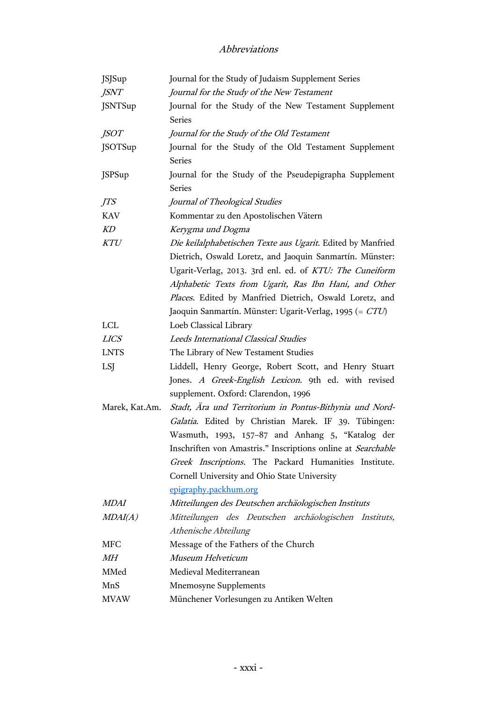| <b>JSJSup</b>  | Journal for the Study of Judaism Supplement Series           |
|----------------|--------------------------------------------------------------|
| <b>JSNT</b>    | Journal for the Study of the New Testament                   |
| <b>JSNTSup</b> | Journal for the Study of the New Testament Supplement        |
|                | <b>Series</b>                                                |
| <i>JSOT</i>    | Journal for the Study of the Old Testament                   |
| <b>JSOTSup</b> | Journal for the Study of the Old Testament Supplement        |
|                | <b>Series</b>                                                |
| <b>JSPSup</b>  | Journal for the Study of the Pseudepigrapha Supplement       |
|                | <b>Series</b>                                                |
| <i>JTS</i>     | Journal of Theological Studies                               |
| <b>KAV</b>     | Kommentar zu den Apostolischen Vätern                        |
| KD             | Kerygma und Dogma                                            |
| KTU            | Die keilalphabetischen Texte aus Ugarit. Edited by Manfried  |
|                | Dietrich, Oswald Loretz, and Jaoquin Sanmartín. Münster:     |
|                | Ugarit-Verlag, 2013. 3rd enl. ed. of KTU: The Cuneiform      |
|                | Alphabetic Texts from Ugarit, Ras Ibn Hani, and Other        |
|                | Places. Edited by Manfried Dietrich, Oswald Loretz, and      |
|                | Jaoquin Sanmartín. Münster: Ugarit-Verlag, 1995 (= CTU)      |
| LCL            | Loeb Classical Library                                       |
| <b>LICS</b>    | Leeds International Classical Studies                        |
| <b>LNTS</b>    | The Library of New Testament Studies                         |
| LSJ            | Liddell, Henry George, Robert Scott, and Henry Stuart        |
|                | Jones. A Greek-English Lexicon. 9th ed. with revised         |
|                | supplement. Oxford: Clarendon, 1996                          |
| Marek, Kat.Am. | Stadt, Ära und Territorium in Pontus-Bithynia und Nord-      |
|                | Galatia. Edited by Christian Marek. IF 39. Tübingen:         |
|                | Wasmuth, 1993, 157-87 and Anhang 5, "Katalog der             |
|                | Inschriften von Amastris." Inscriptions online at Searchable |
|                | Greek Inscriptions. The Packard Humanities Institute.        |
|                | Cornell University and Ohio State University                 |
|                | epigraphy.packhum.org                                        |
| <i>MDAI</i>    | Mitteilungen des Deutschen archäologischen Instituts         |
| MDAI(A)        | Mitteilungen des Deutschen archäologischen Instituts,        |
|                | Athenische Abteilung                                         |
| MFC            | Message of the Fathers of the Church                         |
| MН             | Museum Helveticum                                            |
| MMed           | Medieval Mediterranean                                       |
| MnS            | <b>Mnemosyne Supplements</b>                                 |
| <b>MVAW</b>    | Münchener Vorlesungen zu Antiken Welten                      |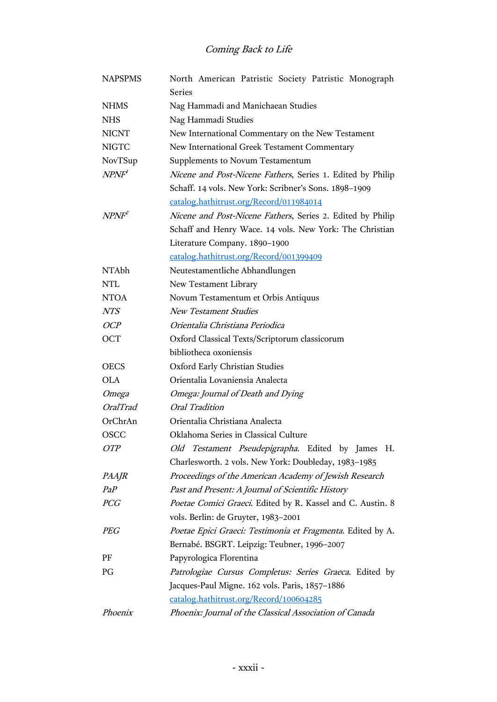| <b>NAPSPMS</b>    | North American Patristic Society Patristic Monograph       |
|-------------------|------------------------------------------------------------|
|                   | <b>Series</b>                                              |
| <b>NHMS</b>       | Nag Hammadi and Manichaean Studies                         |
| <b>NHS</b>        | Nag Hammadi Studies                                        |
| <b>NICNT</b>      | New International Commentary on the New Testament          |
| <b>NIGTC</b>      | New International Greek Testament Commentary               |
| NovTSup           | Supplements to Novum Testamentum                           |
| NPNF'             | Nicene and Post-Nicene Fathers, Series 1. Edited by Philip |
|                   | Schaff. 14 vols. New York: Scribner's Sons. 1898-1909      |
|                   | catalog.hathitrust.org/Record/011984014                    |
| NPNF <sup>2</sup> | Nicene and Post-Nicene Fathers, Series 2. Edited by Philip |
|                   | Schaff and Henry Wace. 14 vols. New York: The Christian    |
|                   | Literature Company. 1890-1900                              |
|                   | catalog.hathitrust.org/Record/001399409                    |
| NTAbh             | Neutestamentliche Abhandlungen                             |
| <b>NTL</b>        | New Testament Library                                      |
| <b>NTOA</b>       | Novum Testamentum et Orbis Antiquus                        |
| <i>NTS</i>        | <b>New Testament Studies</b>                               |
| OCP               | Orientalia Christiana Periodica                            |
| <b>OCT</b>        | Oxford Classical Texts/Scriptorum classicorum              |
|                   | bibliotheca oxoniensis                                     |
| <b>OECS</b>       | Oxford Early Christian Studies                             |
| OLA.              | Orientalia Lovaniensia Analecta                            |
| Omega             | Omega: Journal of Death and Dying                          |
| <i>OralTrad</i>   | Oral Tradition                                             |
| OrChrAn           | Orientalia Christiana Analecta                             |
| <b>OSCC</b>       | Oklahoma Series in Classical Culture                       |
| OTP               | Old Testament Pseudepigrapha. Edited by James H.           |
|                   | Charlesworth. 2 vols. New York: Doubleday, 1983-1985       |
| PAAJR             | Proceedings of the American Academy of Jewish Research     |
| PaP               | Past and Present: A Journal of Scientific History          |
| <b>PCG</b>        | Poetae Comici Graeci. Edited by R. Kassel and C. Austin. 8 |
|                   | vols. Berlin: de Gruyter, 1983-2001                        |
| <b>PEG</b>        | Poetae Epici Graeci: Testimonia et Fragmenta. Edited by A. |
|                   | Bernabé. BSGRT. Leipzig: Teubner, 1996-2007                |
| PF                | Papyrologica Florentina                                    |
| PG                | Patrologiae Cursus Completus: Series Graeca. Edited by     |
|                   | Jacques-Paul Migne. 162 vols. Paris, 1857-1886             |
|                   | catalog.hathitrust.org/Record/100604285                    |
| Phoenix           | Phoenix: Journal of the Classical Association of Canada    |
|                   |                                                            |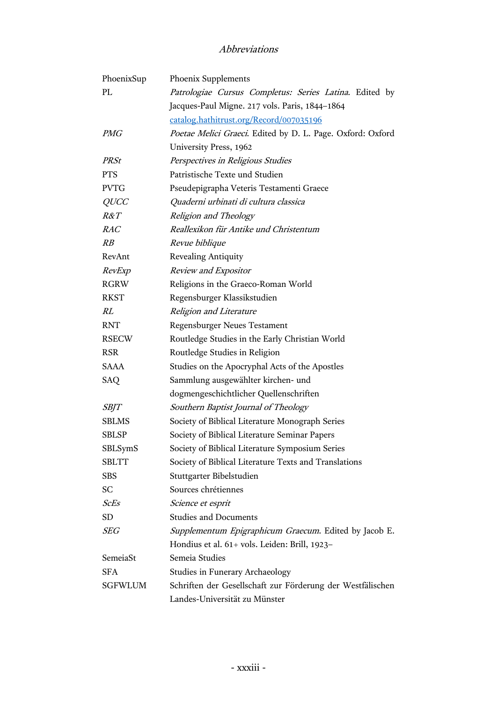| PhoenixSup   | Phoenix Supplements                                        |
|--------------|------------------------------------------------------------|
| PL           | Patrologiae Cursus Completus: Series Latina. Edited by     |
|              | Jacques-Paul Migne. 217 vols. Paris, 1844-1864             |
|              | catalog.hathitrust.org/Record/007035196                    |
| <i>PMG</i>   | Poetae Melici Graeci. Edited by D. L. Page. Oxford: Oxford |
|              | University Press, 1962                                     |
| <b>PRSt</b>  | Perspectives in Religious Studies                          |
| <b>PTS</b>   | Patristische Texte und Studien                             |
| <b>PVTG</b>  | Pseudepigrapha Veteris Testamenti Graece                   |
| <i>QUCC</i>  | Quaderni urbinati di cultura classica                      |
| R&T          | Religion and Theology                                      |
| RAC          | Reallexikon für Antike und Christentum                     |
| $\mathbb{R}$ | Revue biblique                                             |
| RevAnt       | Revealing Antiquity                                        |
| RevExp       | Review and Expositor                                       |
| <b>RGRW</b>  | Religions in the Graeco-Roman World                        |
| <b>RKST</b>  | Regensburger Klassikstudien                                |
| RL           | Religion and Literature                                    |
| <b>RNT</b>   | <b>Regensburger Neues Testament</b>                        |
| <b>RSECW</b> | Routledge Studies in the Early Christian World             |
| <b>RSR</b>   | Routledge Studies in Religion                              |
| SAAA         | Studies on the Apocryphal Acts of the Apostles             |
| <b>SAQ</b>   | Sammlung ausgewählter kirchen- und                         |
|              | dogmengeschichtlicher Quellenschriften                     |
| <i>SBJT</i>  | Southern Baptist Journal of Theology                       |
| <b>SBLMS</b> | Society of Biblical Literature Monograph Series            |
| <b>SBLSP</b> | Society of Biblical Literature Seminar Papers              |
| SBLSymS      | Society of Biblical Literature Symposium Series            |
| <b>SBLTT</b> | Society of Biblical Literature Texts and Translations      |
| <b>SBS</b>   | Stuttgarter Bibelstudien                                   |
| <b>SC</b>    | Sources chrétiennes                                        |
| ScEs         | Science et esprit                                          |
| <b>SD</b>    | <b>Studies and Documents</b>                               |
| SEG          | Supplementum Epigraphicum Graecum. Edited by Jacob E.      |
|              | Hondius et al. 61+ vols. Leiden: Brill, 1923-              |
| SemeiaSt     | Semeia Studies                                             |
| <b>SFA</b>   | <b>Studies in Funerary Archaeology</b>                     |
| SGFWLUM      | Schriften der Gesellschaft zur Förderung der Westfälischen |
|              | Landes-Universität zu Münster                              |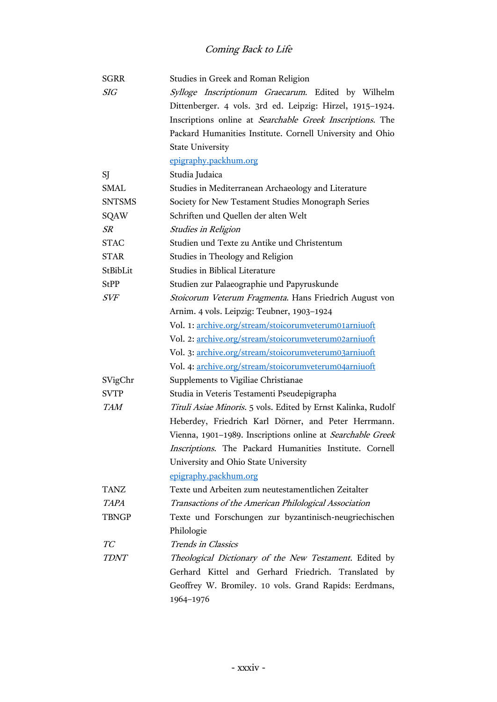| <b>SGRR</b>   | Studies in Greek and Roman Religion                           |
|---------------|---------------------------------------------------------------|
| <b>SIG</b>    | Sylloge Inscriptionum Graecarum. Edited by Wilhelm            |
|               | Dittenberger. 4 vols. 3rd ed. Leipzig: Hirzel, 1915-1924.     |
|               | Inscriptions online at Searchable Greek Inscriptions. The     |
|               | Packard Humanities Institute. Cornell University and Ohio     |
|               | <b>State University</b>                                       |
|               | epigraphy.packhum.org                                         |
| SJ            | Studia Judaica                                                |
| <b>SMAL</b>   | Studies in Mediterranean Archaeology and Literature           |
| <b>SNTSMS</b> | Society for New Testament Studies Monograph Series            |
| <b>SQAW</b>   | Schriften und Quellen der alten Welt                          |
| SR            | <b>Studies in Religion</b>                                    |
| <b>STAC</b>   | Studien und Texte zu Antike und Christentum                   |
| <b>STAR</b>   | Studies in Theology and Religion                              |
| StBibLit      | Studies in Biblical Literature                                |
| <b>StPP</b>   | Studien zur Palaeographie und Papyruskunde                    |
| <b>SVF</b>    | Stoicorum Veterum Fragmenta. Hans Friedrich August von        |
|               | Arnim. 4 vols. Leipzig: Teubner, 1903-1924                    |
|               | Vol. 1: archive.org/stream/stoicorumveterum01arniuoft         |
|               | Vol. 2: archive.org/stream/stoicorumveterum02arniuoft         |
|               | Vol. 3: archive.org/stream/stoicorumveterum03arniuoft         |
|               | Vol. 4: archive.org/stream/stoicorumveterum04arniuoft         |
| SVigChr       | Supplements to Vigiliae Christianae                           |
| <b>SVTP</b>   | Studia in Veteris Testamenti Pseudepigrapha                   |
| <b>TAM</b>    | Tituli Asiae Minoris. 5 vols. Edited by Ernst Kalinka, Rudolf |
|               | Heberdey, Friedrich Karl Dörner, and Peter Herrmann.          |
|               | Vienna, 1901-1989. Inscriptions online at Searchable Greek    |
|               | Inscriptions. The Packard Humanities Institute. Cornell       |
|               | University and Ohio State University                          |
|               | epigraphy.packhum.org                                         |
| <b>TANZ</b>   | Texte und Arbeiten zum neutestamentlichen Zeitalter           |
| <b>TAPA</b>   | Transactions of the American Philological Association         |
| <b>TBNGP</b>  | Texte und Forschungen zur byzantinisch-neugriechischen        |
|               | Philologie                                                    |
| TС            | Trends in Classics                                            |
| TDNT          | Theological Dictionary of the New Testament. Edited by        |
|               | Gerhard Kittel and Gerhard Friedrich. Translated by           |
|               | Geoffrey W. Bromiley. 10 vols. Grand Rapids: Eerdmans,        |
|               | 1964-1976                                                     |